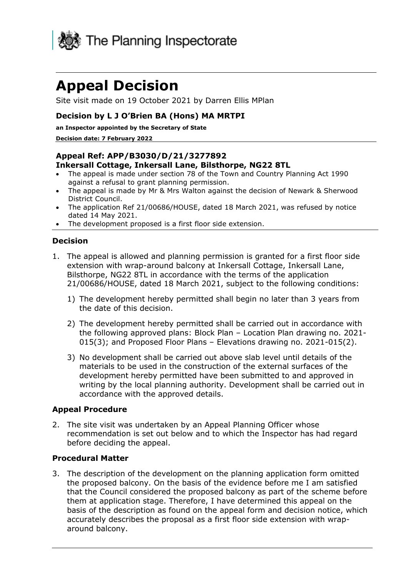

# **Appeal Decision**

Site visit made on 19 October 2021 by Darren Ellis MPlan

### **Decision by L J O'Brien BA (Hons) MA MRTPI**

**an Inspector appointed by the Secretary of State** 

#### **Decision date: 7 February 2022**

#### **Appeal Ref: APP/B3030/D/21/3277892 Inkersall Cottage, Inkersall Lane, Bilsthorpe, NG22 8TL**

- The appeal is made under section 78 of the Town and Country Planning Act 1990 against a refusal to grant planning permission.
- The appeal is made by Mr & Mrs Walton against the decision of Newark & Sherwood District Council.
- The application Ref 21/00686/HOUSE, dated 18 March 2021, was refused by notice dated 14 May 2021.
- The development proposed is a first floor side extension.

#### **Decision**

- 1. The appeal is allowed and planning permission is granted for a first floor side extension with wrap-around balcony at Inkersall Cottage, Inkersall Lane, Bilsthorpe, NG22 8TL in accordance with the terms of the application 21/00686/HOUSE, dated 18 March 2021, subject to the following conditions:
	- 1) The development hereby permitted shall begin no later than 3 years from the date of this decision.
	- 2) The development hereby permitted shall be carried out in accordance with the following approved plans: Block Plan – Location Plan drawing no. 2021- 015(3); and Proposed Floor Plans – Elevations drawing no. 2021-015(2).
	- 3) No development shall be carried out above slab level until details of the materials to be used in the construction of the external surfaces of the development hereby permitted have been submitted to and approved in writing by the local planning authority. Development shall be carried out in accordance with the approved details.

#### **Appeal Procedure**

2. The site visit was undertaken by an Appeal Planning Officer whose recommendation is set out below and to which the Inspector has had regard before deciding the appeal.

#### **Procedural Matter**

3. The description of the development on the planning application form omitted the proposed balcony. On the basis of the evidence before me I am satisfied that the Council considered the proposed balcony as part of the scheme before them at application stage. Therefore, I have determined this appeal on the basis of the description as found on the appeal form and decision notice, which accurately describes the proposal as a first floor side extension with wraparound balcony.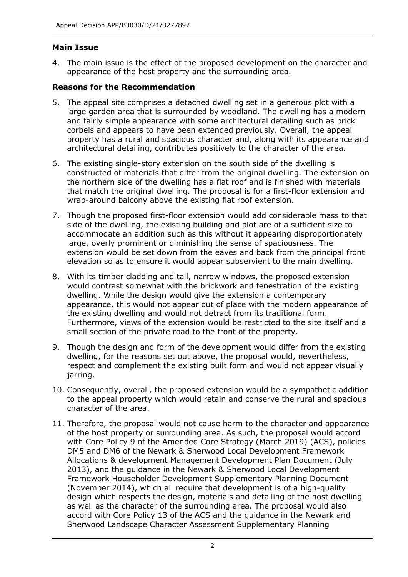## **Main Issue**

4. The main issue is the effect of the proposed development on the character and appearance of the host property and the surrounding area.

## **Reasons for the Recommendation**

- 5. The appeal site comprises a detached dwelling set in a generous plot with a large garden area that is surrounded by woodland. The dwelling has a modern and fairly simple appearance with some architectural detailing such as brick corbels and appears to have been extended previously. Overall, the appeal property has a rural and spacious character and, along with its appearance and architectural detailing, contributes positively to the character of the area.
- 6. The existing single-story extension on the south side of the dwelling is constructed of materials that differ from the original dwelling. The extension on the northern side of the dwelling has a flat roof and is finished with materials that match the original dwelling. The proposal is for a first-floor extension and wrap-around balcony above the existing flat roof extension.
- 7. Though the proposed first-floor extension would add considerable mass to that side of the dwelling, the existing building and plot are of a sufficient size to accommodate an addition such as this without it appearing disproportionately large, overly prominent or diminishing the sense of spaciousness. The extension would be set down from the eaves and back from the principal front elevation so as to ensure it would appear subservient to the main dwelling.
- 8. With its timber cladding and tall, narrow windows, the proposed extension would contrast somewhat with the brickwork and fenestration of the existing dwelling. While the design would give the extension a contemporary appearance, this would not appear out of place with the modern appearance of the existing dwelling and would not detract from its traditional form. Furthermore, views of the extension would be restricted to the site itself and a small section of the private road to the front of the property.
- 9. Though the design and form of the development would differ from the existing dwelling, for the reasons set out above, the proposal would, nevertheless, respect and complement the existing built form and would not appear visually jarring.
- 10. Consequently, overall, the proposed extension would be a sympathetic addition to the appeal property which would retain and conserve the rural and spacious character of the area.
- 11. Therefore, the proposal would not cause harm to the character and appearance of the host property or surrounding area. As such, the proposal would accord with Core Policy 9 of the Amended Core Strategy (March 2019) (ACS), policies DM5 and DM6 of the Newark & Sherwood Local Development Framework Allocations & development Management Development Plan Document (July 2013), and the guidance in the Newark & Sherwood Local Development Framework Householder Development Supplementary Planning Document (November 2014), which all require that development is of a high-quality design which respects the design, materials and detailing of the host dwelling as well as the character of the surrounding area. The proposal would also accord with Core Policy 13 of the ACS and the guidance in the Newark and Sherwood Landscape Character Assessment Supplementary Planning